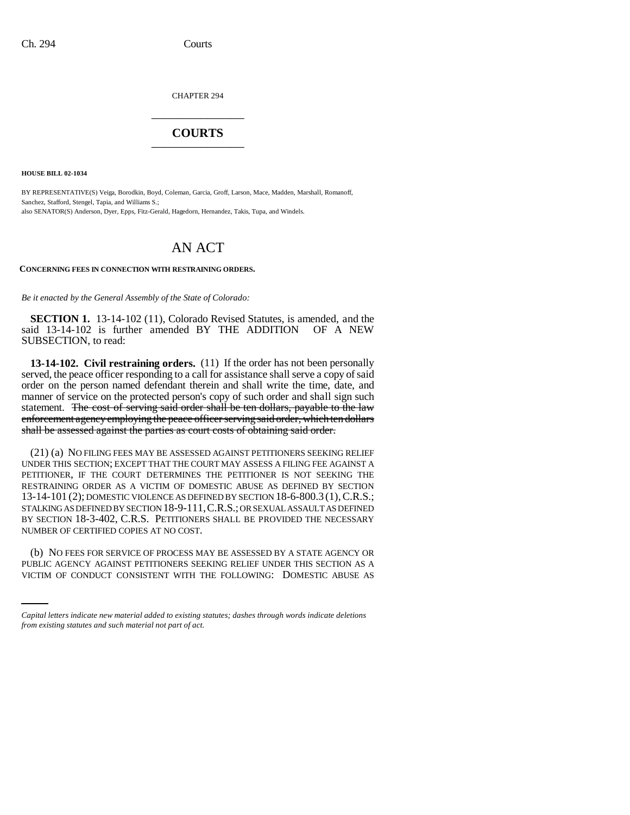CHAPTER 294 \_\_\_\_\_\_\_\_\_\_\_\_\_\_\_

## **COURTS** \_\_\_\_\_\_\_\_\_\_\_\_\_\_\_

**HOUSE BILL 02-1034**

BY REPRESENTATIVE(S) Veiga, Borodkin, Boyd, Coleman, Garcia, Groff, Larson, Mace, Madden, Marshall, Romanoff, Sanchez, Stafford, Stengel, Tapia, and Williams S.; also SENATOR(S) Anderson, Dyer, Epps, Fitz-Gerald, Hagedorn, Hernandez, Takis, Tupa, and Windels.

## AN ACT

## **CONCERNING FEES IN CONNECTION WITH RESTRAINING ORDERS.**

*Be it enacted by the General Assembly of the State of Colorado:*

**SECTION 1.** 13-14-102 (11), Colorado Revised Statutes, is amended, and the said 13-14-102 is further amended BY THE ADDITION OF A NEW SUBSECTION, to read:

**13-14-102. Civil restraining orders.** (11) If the order has not been personally served, the peace officer responding to a call for assistance shall serve a copy of said order on the person named defendant therein and shall write the time, date, and manner of service on the protected person's copy of such order and shall sign such statement. The cost of serving said order shall be ten dollars, payable to the law enforcement agency employing the peace officer serving said order, which ten dollars shall be assessed against the parties as court costs of obtaining said order.

(21) (a) NO FILING FEES MAY BE ASSESSED AGAINST PETITIONERS SEEKING RELIEF UNDER THIS SECTION; EXCEPT THAT THE COURT MAY ASSESS A FILING FEE AGAINST A PETITIONER, IF THE COURT DETERMINES THE PETITIONER IS NOT SEEKING THE RESTRAINING ORDER AS A VICTIM OF DOMESTIC ABUSE AS DEFINED BY SECTION 13-14-101 (2); DOMESTIC VIOLENCE AS DEFINED BY SECTION 18-6-800.3 (1),C.R.S.; STALKING AS DEFINED BY SECTION 18-9-111,C.R.S.; OR SEXUAL ASSAULT AS DEFINED BY SECTION 18-3-402, C.R.S. PETITIONERS SHALL BE PROVIDED THE NECESSARY NUMBER OF CERTIFIED COPIES AT NO COST.

(b) NO FEES FOR SERVICE OF PROCESS MAY BE ASSESSED BY A STATE AGENCY OR PUBLIC AGENCY AGAINST PETITIONERS SEEKING RELIEF UNDER THIS SECTION AS A VICTIM OF CONDUCT CONSISTENT WITH THE FOLLOWING: DOMESTIC ABUSE AS

*Capital letters indicate new material added to existing statutes; dashes through words indicate deletions from existing statutes and such material not part of act.*